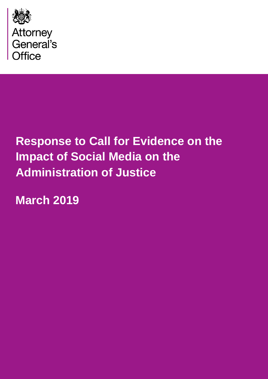

# **Response to Call for Evidence on the Impact of Social Media on the Administration of Justice**

**March 2019**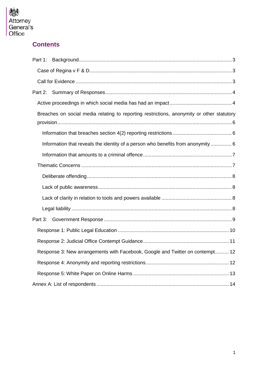

## **Contents**

| Part 1:                                                                                   |
|-------------------------------------------------------------------------------------------|
|                                                                                           |
|                                                                                           |
| Part 2:                                                                                   |
|                                                                                           |
| Breaches on social media relating to reporting restrictions, anonymity or other statutory |
|                                                                                           |
| Information that reveals the identity of a person who benefits from anonymity  6          |
|                                                                                           |
|                                                                                           |
|                                                                                           |
|                                                                                           |
|                                                                                           |
|                                                                                           |
|                                                                                           |
|                                                                                           |
|                                                                                           |
| Response 3: New arrangements with Facebook, Google and Twitter on contempt 12             |
|                                                                                           |
|                                                                                           |
|                                                                                           |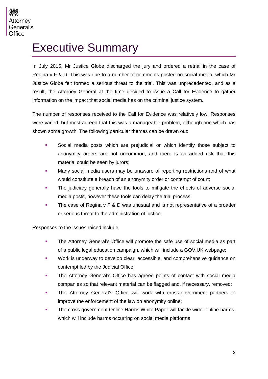## Executive Summary

In July 2015, Mr Justice Globe discharged the jury and ordered a retrial in the case of Regina v F & D. This was due to a number of comments posted on social media, which Mr Justice Globe felt formed a serious threat to the trial. This was unprecedented, and as a result, the Attorney General at the time decided to issue a Call for Evidence to gather information on the impact that social media has on the criminal justice system.

The number of responses received to the Call for Evidence was relatively low. Responses were varied, but most agreed that this was a manageable problem, although one which has shown some growth. The following particular themes can be drawn out:

- Social media posts which are prejudicial or which identify those subject to anonymity orders are not uncommon, and there is an added risk that this material could be seen by jurors;
- Many social media users may be unaware of reporting restrictions and of what would constitute a breach of an anonymity order or contempt of court;
- The judiciary generally have the tools to mitigate the effects of adverse social media posts, however these tools can delay the trial process;
- The case of Regina y F & D was unusual and is not representative of a broader or serious threat to the administration of justice.

Responses to the issues raised include:

- **The Attorney General's Office will promote the safe use of social media as part** of a public legal education campaign, which will include a GOV.UK webpage;
- **Work is underway to develop clear, accessible, and comprehensive guidance on** contempt led by the Judicial Office;
- The Attorney General's Office has agreed points of contact with social media companies so that relevant material can be flagged and, if necessary, removed;
- **The Attorney General's Office will work with cross-government partners to** improve the enforcement of the law on anonymity online;
- The cross-government Online Harms White Paper will tackle wider online harms, which will include harms occurring on social media platforms.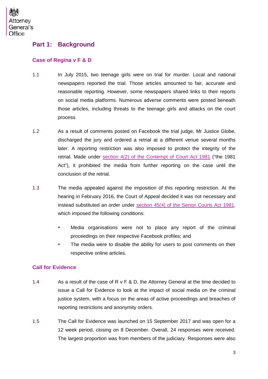

#### <span id="page-3-0"></span>**Part 1: Background**

#### <span id="page-3-1"></span>**Case of Regina v F & D**

- 1.1 In July 2015, two teenage girls were on trial for murder. Local and national newspapers reported the trial. Those articles amounted to fair, accurate and reasonable reporting. However, some newspapers shared links to their reports on social media platforms. Numerous adverse comments were posted beneath those articles, including threats to the teenage girls and attacks on the court process.
- 1.2 As a result of comments posted on Facebook the trial judge, Mr Justice Globe, discharged the jury and ordered a retrial at a different venue several months later. A reporting restriction was also imposed to protect the integrity of the retrial. Made under [section 4\(2\) of the Contempt of Court Act 1981](https://www.legislation.gov.uk/ukpga/1981/49/section/4) ("the 1981 Act"), it prohibited the media from further reporting on the case until the conclusion of the retrial.
- 1.3 The media appealed against the imposition of this reporting restriction. At the hearing in February 2016, the Court of Appeal decided it was not necessary and instead substituted an order under [section 45\(4\) of the Senior Courts Act 1981,](http://www.legislation.gov.uk/ukpga/1981/54/section/45) which imposed the following conditions:
	- Media organisations were not to place any report of the criminal proceedings on their respective Facebook profiles; and
	- **The media were to disable the ability for users to post comments on their** respective online articles.

#### <span id="page-3-2"></span>**Call for Evidence**

- 1.4 As a result of the case of R v F & D, the Attorney General at the time decided to issue a Call for Evidence to look at the impact of social media on the criminal justice system, with a focus on the areas of active proceedings and breaches of reporting restrictions and anonymity orders.
- 1.5 The Call for Evidence was launched on 15 September 2017 and was open for a 12 week period, closing on 8 December. Overall, 24 responses were received. The largest proportion was from members of the judiciary. Responses were also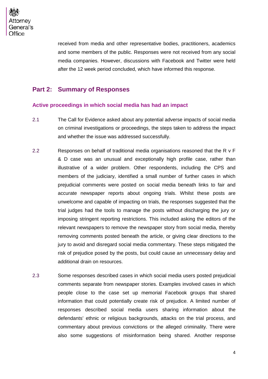

received from media and other representative bodies, practitioners, academics and some members of the public. Responses were not received from any social media companies. However, discussions with Facebook and Twitter were held after the 12 week period concluded, which have informed this response.

#### <span id="page-4-0"></span>**Part 2: Summary of Responses**

#### <span id="page-4-1"></span>**Active proceedings in which social media has had an impact**

- 2.1 The Call for Evidence asked about any potential adverse impacts of social media on criminal investigations or proceedings, the steps taken to address the impact and whether the issue was addressed successfully.
- 2.2 Responses on behalf of traditional media organisations reasoned that the R v F & D case was an unusual and exceptionally high profile case, rather than illustrative of a wider problem. Other respondents, including the CPS and members of the judiciary, identified a small number of further cases in which prejudicial comments were posted on social media beneath links to fair and accurate newspaper reports about ongoing trials. Whilst these posts are unwelcome and capable of impacting on trials, the responses suggested that the trial judges had the tools to manage the posts without discharging the jury or imposing stringent reporting restrictions. This included asking the editors of the relevant newspapers to remove the newspaper story from social media, thereby removing comments posted beneath the article, or giving clear directions to the jury to avoid and disregard social media commentary. These steps mitigated the risk of prejudice posed by the posts, but could cause an unnecessary delay and additional drain on resources.
- 2.3 Some responses described cases in which social media users posted prejudicial comments separate from newspaper stories. Examples involved cases in which people close to the case set up memorial Facebook groups that shared information that could potentially create risk of prejudice. A limited number of responses described social media users sharing information about the defendants' ethnic or religious backgrounds, attacks on the trial process, and commentary about previous convictions or the alleged criminality. There were also some suggestions of misinformation being shared. Another response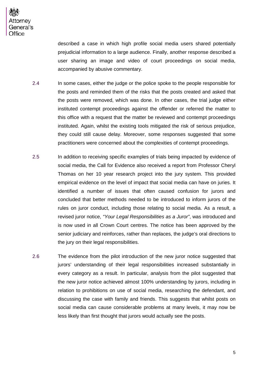described a case in which high profile social media users shared potentially prejudicial information to a large audience. Finally, another response described a user sharing an image and video of court proceedings on social media, accompanied by abusive commentary.

- 2.4 In some cases, either the judge or the police spoke to the people responsible for the posts and reminded them of the risks that the posts created and asked that the posts were removed, which was done. In other cases, the trial judge either instituted contempt proceedings against the offender or referred the matter to this office with a request that the matter be reviewed and contempt proceedings instituted. Again, whilst the existing tools mitigated the risk of serious prejudice, they could still cause delay. Moreover, some responses suggested that some practitioners were concerned about the complexities of contempt proceedings.
- 2.5 In addition to receiving specific examples of trials being impacted by evidence of social media, the Call for Evidence also received a report from Professor Cheryl Thomas on her 10 year research project into the jury system. This provided empirical evidence on the level of impact that social media can have on juries. It identified a number of issues that often caused confusion for jurors and concluded that better methods needed to be introduced to inform jurors of the rules on juror conduct, including those relating to social media. As a result, a revised juror notice, *"Your Legal Responsibilities as a Juror"*, was introduced and is now used in all Crown Court centres. The notice has been approved by the senior judiciary and reinforces, rather than replaces, the judge's oral directions to the jury on their legal responsibilities.
- 2.6 The evidence from the pilot introduction of the new juror notice suggested that jurors' understanding of their legal responsibilities increased substantially in every category as a result. In particular, analysis from the pilot suggested that the new juror notice achieved almost 100% understanding by jurors, including in relation to prohibitions on use of social media, researching the defendant, and discussing the case with family and friends. This suggests that whilst posts on social media can cause considerable problems at many levels, it may now be less likely than first thought that jurors would actually see the posts.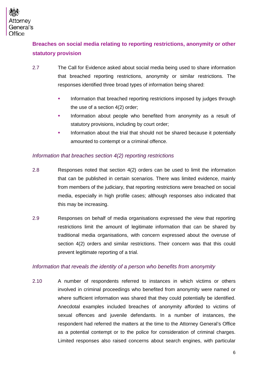

## <span id="page-6-0"></span>**Breaches on social media relating to reporting restrictions, anonymity or other statutory provision**

- 2.7 The Call for Evidence asked about social media being used to share information that breached reporting restrictions, anonymity or similar restrictions. The responses identified three broad types of information being shared:
	- **Information that breached reporting restrictions imposed by judges through** the use of a section 4(2) order;
	- Information about people who benefited from anonymity as a result of statutory provisions, including by court order;
	- Information about the trial that should not be shared because it potentially amounted to contempt or a criminal offence.

#### <span id="page-6-1"></span>*Information that breaches section 4(2) reporting restrictions*

- 2.8 Responses noted that section 4(2) orders can be used to limit the information that can be published in certain scenarios. There was limited evidence, mainly from members of the judiciary, that reporting restrictions were breached on social media, especially in high profile cases; although responses also indicated that this may be increasing.
- 2.9 Responses on behalf of media organisations expressed the view that reporting restrictions limit the amount of legitimate information that can be shared by traditional media organisations, with concern expressed about the overuse of section 4(2) orders and similar restrictions. Their concern was that this could prevent legitimate reporting of a trial.

#### <span id="page-6-2"></span>*Information that reveals the identity of a person who benefits from anonymity*

2.10 A number of respondents referred to instances in which victims or others involved in criminal proceedings who benefited from anonymity were named or where sufficient information was shared that they could potentially be identified. Anecdotal examples included breaches of anonymity afforded to victims of sexual offences and juvenile defendants. In a number of instances, the respondent had referred the matters at the time to the Attorney General's Office as a potential contempt or to the police for consideration of criminal charges. Limited responses also raised concerns about search engines, with particular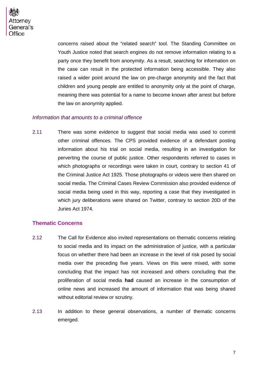

concerns raised about the "related search" tool. The Standing Committee on Youth Justice noted that search engines do not remove information relating to a party once they benefit from anonymity. As a result, searching for information on the case can result in the protected information being accessible. They also raised a wider point around the law on pre-charge anonymity and the fact that children and young people are entitled to anonymity only at the point of charge, meaning there was potential for a name to become known after arrest but before the law on anonymity applied.

#### <span id="page-7-0"></span>*Information that amounts to a criminal offence*

2.11 There was some evidence to suggest that social media was used to commit other criminal offences. The CPS provided evidence of a defendant posting information about his trial on social media, resulting in an investigation for perverting the course of public justice. Other respondents referred to cases in which photographs or recordings were taken in court, contrary to section 41 of the Criminal Justice Act 1925. Those photographs or videos were then shared on social media. The Criminal Cases Review Commission also provided evidence of social media being used in this way, reporting a case that they investigated in which jury deliberations were shared on Twitter, contrary to section 20D of the Juries Act 1974.

#### <span id="page-7-1"></span>**Thematic Concerns**

- 2.12 The Call for Evidence also invited representations on thematic concerns relating to social media and its impact on the administration of justice, with a particular focus on whether there had been an increase in the level of risk posed by social media over the preceding five years. Views on this were mixed, with some concluding that the impact has not increased and others concluding that the proliferation of social media **had** caused an increase in the consumption of online news and increased the amount of information that was being shared without editorial review or scrutiny.
- 2.13 In addition to these general observations, a number of thematic concerns emerged.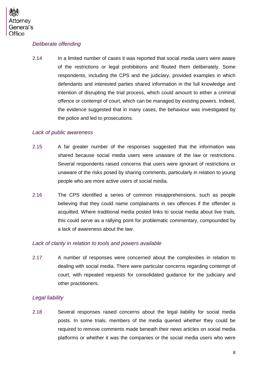

#### <span id="page-8-0"></span>*Deliberate offending*

2.14 In a limited number of cases it was reported that social media users were aware of the restrictions or legal prohibitions and flouted them deliberately. Some respondents, including the CPS and the judiciary, provided examples in which defendants and interested parties shared information in the full knowledge and intention of disrupting the trial process, which could amount to either a criminal offence or contempt of court, which can be managed by existing powers. Indeed, the evidence suggested that in many cases, the behaviour was investigated by the police and led to prosecutions.

#### <span id="page-8-1"></span>*Lack of public awareness*

- 2.15 A far greater number of the responses suggested that the information was shared because social media users were unaware of the law or restrictions. Several respondents raised concerns that users were ignorant of restrictions or unaware of the risks posed by sharing comments, particularly in relation to young people who are more active users of social media.
- 2.16 The CPS identified a series of common misapprehensions, such as people believing that they could name complainants in sex offences if the offender is acquitted. Where traditional media posted links to social media about live trials, this could serve as a rallying point for problematic commentary, compounded by a lack of awareness about the law.

#### <span id="page-8-2"></span>*Lack of clarity in relation to tools and powers available*

2.17 A number of responses were concerned about the complexities in relation to dealing with social media. There were particular concerns regarding contempt of court, with repeated requests for consolidated guidance for the judiciary and other practitioners.

#### <span id="page-8-3"></span>*Legal liability*

2.18 Several responses raised concerns about the legal liability for social media posts. In some trials, members of the media queried whether they could be required to remove comments made beneath their news articles on social media platforms or whether it was the companies or the social media users who were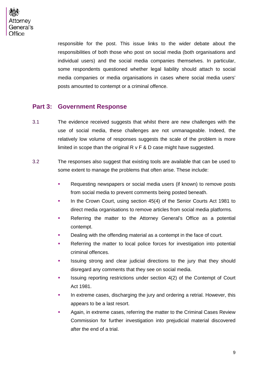

responsible for the post. This issue links to the wider debate about the responsibilities of both those who post on social media (both organisations and individual users) and the social media companies themselves. In particular, some respondents questioned whether legal liability should attach to social media companies or media organisations in cases where social media users' posts amounted to contempt or a criminal offence.

#### <span id="page-9-0"></span>**Part 3: Government Response**

- 3.1 The evidence received suggests that whilst there are new challenges with the use of social media, these challenges are not unmanageable. Indeed, the relatively low volume of responses suggests the scale of the problem is more limited in scope than the original  $R \vee F \& D$  case might have suggested.
- 3.2 The responses also suggest that existing tools are available that can be used to some extent to manage the problems that often arise. These include:
	- Requesting newspapers or social media users (if known) to remove posts from social media to prevent comments being posted beneath.
	- In the Crown Court, using section 45(4) of the Senior Courts Act 1981 to direct media organisations to remove articles from social media platforms.
	- Referring the matter to the Attorney General's Office as a potential contempt.
	- Dealing with the offending material as a contempt in the face of court.
	- Referring the matter to local police forces for investigation into potential criminal offences.
	- **In Itherally** Issuing strong and clear judicial directions to the jury that they should disregard any comments that they see on social media.
	- Issuing reporting restrictions under section 4(2) of the Contempt of Court Act 1981.
	- In extreme cases, discharging the jury and ordering a retrial. However, this appears to be a last resort.
	- Again, in extreme cases, referring the matter to the Criminal Cases Review Commission for further investigation into prejudicial material discovered after the end of a trial.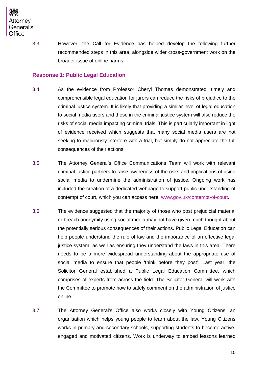

3.3 However, the Call for Evidence has helped develop the following further recommended steps in this area, alongside wider cross-government work on the broader issue of online harms.

#### <span id="page-10-0"></span>**Response 1: Public Legal Education**

- 3.4 As the evidence from Professor Cheryl Thomas demonstrated, timely and comprehensible legal education for jurors can reduce the risks of prejudice to the criminal justice system. It is likely that providing a similar level of legal education to social media users and those in the criminal justice system will also reduce the risks of social media impacting criminal trials. This is particularly important in light of evidence received which suggests that many social media users are not seeking to maliciously interfere with a trial, but simply do not appreciate the full consequences of their actions.
- 3.5 The Attorney General's Office Communications Team will work with relevant criminal justice partners to raise awareness of the risks and implications of using social media to undermine the administration of justice. Ongoing work has included the creation of a dedicated webpage to support public understanding of contempt of court, which you can access here: [www.gov.uk/contempt-of-court.](http://www.gov.uk/contempt-of-court)
- 3.6 The evidence suggested that the majority of those who post prejudicial material or breach anonymity using social media may not have given much thought about the potentially serious consequences of their actions. Public Legal Education can help people understand the rule of law and the importance of an effective legal justice system, as well as ensuring they understand the laws in this area. There needs to be a more widespread understanding about the appropriate use of social media to ensure that people 'think before they post'. Last year, the Solicitor General established a Public Legal Education Committee, which comprises of experts from across the field. The Solicitor General will work with the Committee to promote how to safely comment on the administration of justice online.
- 3.7 The Attorney General's Office also works closely with Young Citizens, an organisation which helps young people to learn about the law. Young Citizens works in primary and secondary schools, supporting students to become active, engaged and motivated citizens. Work is underway to embed lessons learned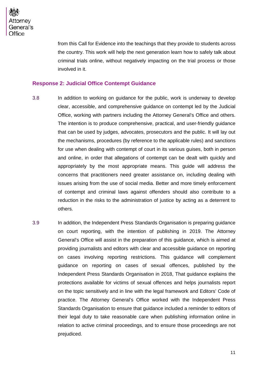from this Call for Evidence into the teachings that they provide to students across the country. This work will help the next generation learn how to safely talk about criminal trials online, without negatively impacting on the trial process or those involved in it.

#### <span id="page-11-0"></span>**Response 2: Judicial Office Contempt Guidance**

- 3.8 In addition to working on guidance for the public, work is underway to develop clear, accessible, and comprehensive guidance on contempt led by the Judicial Office, working with partners including the Attorney General's Office and others. The intention is to produce comprehensive, practical, and user-friendly guidance that can be used by judges, advocates, prosecutors and the public. It will lay out the mechanisms, procedures (by reference to the applicable rules) and sanctions for use when dealing with contempt of court in its various guises, both in person and online, in order that allegations of contempt can be dealt with quickly and appropriately by the most appropriate means. This guide will address the concerns that practitioners need greater assistance on, including dealing with issues arising from the use of social media. Better and more timely enforcement of contempt and criminal laws against offenders should also contribute to a reduction in the risks to the administration of justice by acting as a deterrent to others.
- 3.9 In addition, the Independent Press Standards Organisation is preparing guidance on court reporting, with the intention of publishing in 2019. The Attorney General's Office will assist in the preparation of this guidance, which is aimed at providing journalists and editors with clear and accessible guidance on reporting on cases involving reporting restrictions. This guidance will complement guidance on reporting on cases of sexual offences, published by the Independent Press Standards Organisation in 2018, That guidance explains the protections available for victims of sexual offences and helps journalists report on the topic sensitively and in line with the legal framework and Editors' Code of practice. The Attorney General's Office worked with the Independent Press Standards Organisation to ensure that guidance included a reminder to editors of their legal duty to take reasonable care when publishing information online in relation to active criminal proceedings, and to ensure those proceedings are not prejudiced.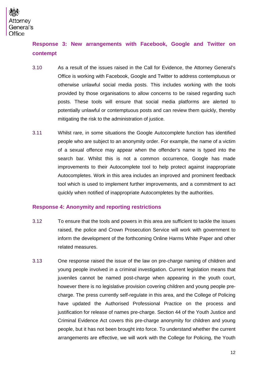

### <span id="page-12-0"></span>**Response 3: New arrangements with Facebook, Google and Twitter on contempt**

- 3.10 As a result of the issues raised in the Call for Evidence, the Attorney General's Office is working with Facebook, Google and Twitter to address contemptuous or otherwise unlawful social media posts. This includes working with the tools provided by those organisations to allow concerns to be raised regarding such posts. These tools will ensure that social media platforms are alerted to potentially unlawful or contemptuous posts and can review them quickly, thereby mitigating the risk to the administration of justice.
- 3.11 Whilst rare, in some situations the Google Autocomplete function has identified people who are subject to an anonymity order. For example, the name of a victim of a sexual offence may appear when the offender's name is typed into the search bar. Whilst this is not a common occurrence, Google has made improvements to their Autocomplete tool to help protect against inappropriate Autocompletes. Work in this area includes an improved and prominent feedback tool which is used to implement further improvements, and a commitment to act quickly when notified of inappropriate Autocompletes by the authorities.

#### <span id="page-12-1"></span>**Response 4: Anonymity and reporting restrictions**

- 3.12 To ensure that the tools and powers in this area are sufficient to tackle the issues raised, the police and Crown Prosecution Service will work with government to inform the development of the forthcoming Online Harms White Paper and other related measures.
- 3.13 One response raised the issue of the law on pre-charge naming of children and young people involved in a criminal investigation. Current legislation means that juveniles cannot be named post-charge when appearing in the youth court, however there is no legislative provision covering children and young people precharge. The press currently self-regulate in this area, and the College of Policing have updated the Authorised Professional Practice on the process and justification for release of names pre-charge. Section 44 of the Youth Justice and Criminal Evidence Act covers this pre-charge anonymity for children and young people, but it has not been brought into force. To understand whether the current arrangements are effective, we will work with the College for Policing, the Youth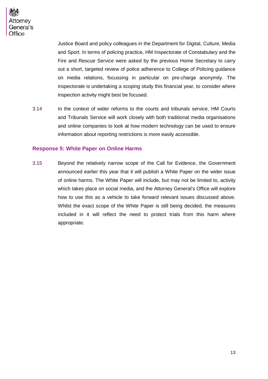

Justice Board and policy colleagues in the Department for Digital, Culture, Media and Sport. In terms of policing practice, HM Inspectorate of Constabulary and the Fire and Rescue Service were asked by the previous Home Secretary to carry out a short, targeted review of police adherence to College of Policing guidance on media relations, focussing in particular on pre-charge anonymity. The inspectorate is undertaking a scoping study this financial year, to consider where inspection activity might best be focused.

3.14 In the context of wider reforms to the courts and tribunals service, HM Courts and Tribunals Service will work closely with both traditional media organisations and online companies to look at how modern technology can be used to ensure information about reporting restrictions is more easily accessible.

#### <span id="page-13-0"></span>**Response 5: White Paper on Online Harms**

3.15 Beyond the relatively narrow scope of the Call for Evidence, the Government announced earlier this year that it will publish a White Paper on the wider issue of online harms. The White Paper will include, but may not be limited to, activity which takes place on social media, and the Attorney General's Office will explore how to use this as a vehicle to take forward relevant issues discussed above. Whilst the exact scope of the White Paper is still being decided, the measures included in it will reflect the need to protect trials from this harm where appropriate.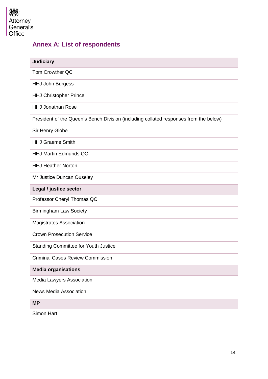

## <span id="page-14-0"></span>**Annex A: List of respondents**

| <b>Judiciary</b>                                                                      |
|---------------------------------------------------------------------------------------|
| Tom Crowther QC                                                                       |
| <b>HHJ John Burgess</b>                                                               |
| <b>HHJ Christopher Prince</b>                                                         |
| <b>HHJ Jonathan Rose</b>                                                              |
| President of the Queen's Bench Division (including collated responses from the below) |
| Sir Henry Globe                                                                       |
| <b>HHJ Graeme Smith</b>                                                               |
| <b>HHJ Martin Edmunds QC</b>                                                          |
| <b>HHJ Heather Norton</b>                                                             |
| Mr Justice Duncan Ouseley                                                             |
| Legal / justice sector                                                                |
| Professor Cheryl Thomas QC                                                            |
| <b>Birmingham Law Society</b>                                                         |
| <b>Magistrates Association</b>                                                        |
| <b>Crown Prosecution Service</b>                                                      |
| <b>Standing Committee for Youth Justice</b>                                           |
| <b>Criminal Cases Review Commission</b>                                               |
| <b>Media organisations</b>                                                            |
| Media Lawyers Association                                                             |
| <b>News Media Association</b>                                                         |
| <b>MP</b>                                                                             |
| Simon Hart                                                                            |